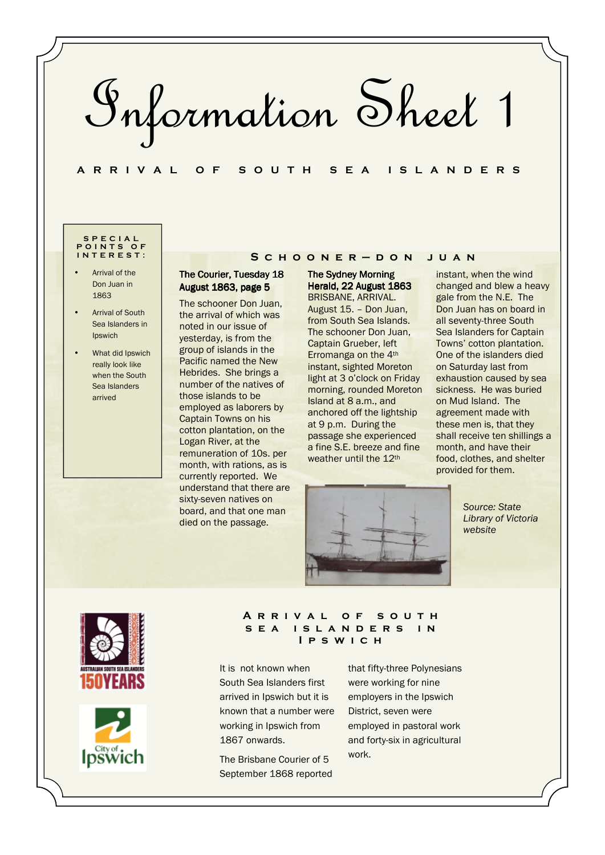Information Sheet 1

## **A R R I V A L O F S O U T H S E A I S L A N D E R S**

### **S P E C I A L P O I N T S O F I N T E R E S T :**

- Arrival of the Don Juan in 1863
- **Arrival of South** Sea Islanders in Ipswich
- What did Ipswich really look like when the South Sea Islanders arrived

# The Courier, Tuesday 18 **S c h o o n e r — d o n j u a n**

August 1863, page 5 The schooner Don Juan, the arrival of which was noted in our issue of yesterday, is from the group of islands in the Pacific named the New Hebrides. She brings a number of the natives of those islands to be employed as laborers by Captain Towns on his cotton plantation, on the Logan River, at the remuneration of 10s. per month, with rations, as is currently reported. We understand that there are sixty-seven natives on board, and that one man died on the passage.

**The Sydney Morning** Herald, 22 August 1863 BRISBANE, ARRIVAL. August 15. – Don Juan, from South Sea Islands. The schooner Don Juan, Captain Grueber, left Erromanga on the 4th instant, sighted Moreton light at 3 o'clock on Friday morning, rounded Moreton Island at 8 a.m., and anchored off the lightship at 9 p.m. During the passage she experienced a fine S.E. breeze and fine weather until the 12th

instant, when the wind changed and blew a heavy gale from the N.E. The Don Juan has on board in all seventy-three South Sea Islanders for Captain Towns' cotton plantation. One of the islanders died on Saturday last from exhaustion caused by sea sickness. He was buried on Mud Island. The agreement made with these men is, that they shall receive ten shillings a month, and have their food, clothes, and shelter provided for them.



*Source: State Library of Victoria website* 





### **A r r i v a l o f s o u t h**  SEA ISLANDERS IN **I p s w i c h**

It is not known when South Sea Islanders first arrived in Ipswich but it is known that a number were working in Ipswich from 1867 onwards.

The Brisbane Courier of 5 September 1868 reported that fifty-three Polynesians were working for nine employers in the Ipswich District, seven were employed in pastoral work and forty-six in agricultural work.